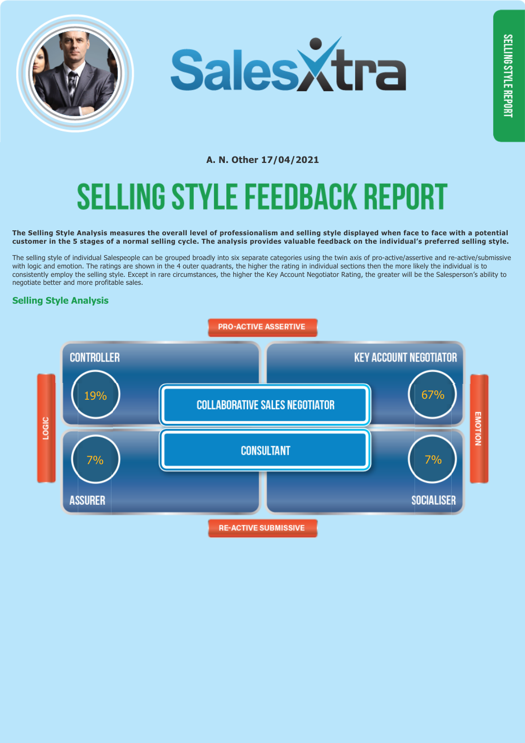



# **A. N. Other 17/04/2021** SELLING STYLE FEEDBACK REPORT

#### **The Selling Style Analysis measures the overall level of professionalism and selling style displayed when face to face with a potential customer in the 5 stages of a normal selling cycle. The analysis provides valuable feedback on the individual's preferred selling style.**

The selling style of individual Salespeople can be grouped broadly into six separate categories using the twin axis of pro-active/assertive and re-active/submissive with logic and emotion. The ratings are shown in the 4 outer quadrants, the higher the rating in individual sections then the more likely the individual is to consistently employ the selling style. Except in rare circumstances, the higher the Key Account Negotiator Rating, the greater will be the Salesperson's ability to negotiate better and more profitable sales.

## **Selling Style Analysis**